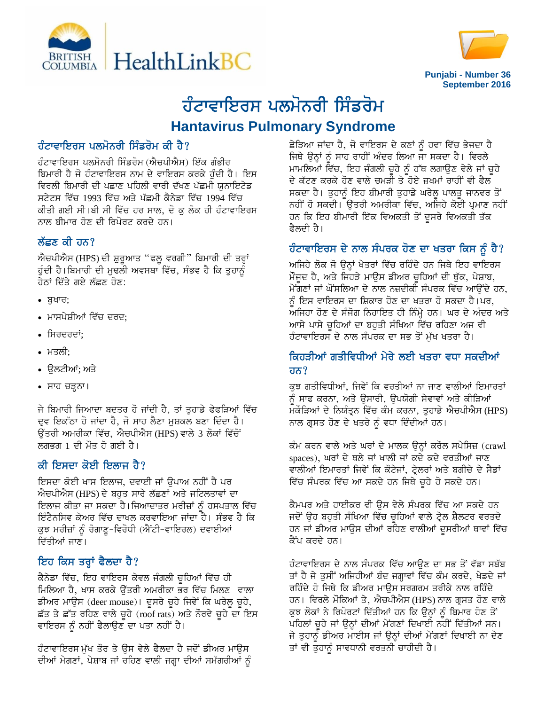



# ਹੰਟਾਵਾਇਰਸ ਪਲਮੋਨਰੀ ਸਿੰਡਰੋਮ **Hantavirus Pulmonary Syndrome**

# ਹੰਟਾਵਾਇਰਸ ਪਲਮੋਨਰੀ ਸਿੰਡਰੋਮ ਕੀ ਹੈ?

ਹੰਟਾਵਾਇਰਸ ਪਲਮੋਨਰੀ ਸਿੰਡਰੋਮ (ਐਚਪੀਐਸ) ਇੱਕ ਗੰਭੀਰ ਬਿਮਾਰੀ ਹੈ ਜੋ ਹੰਟਾਵਾਇਰਸ ਨਾਮ ਦੇ ਵਾਇਰਸ ਕਰਕੇ ਹੁੰਦੀ ਹੈ। ਇਸ ਵਿਰਲੀ ਬਿਮਾਰੀ ਦੀ ਪਛਾਣ ਪਹਿਲੀ ਵਾਰੀ ਦੱਖਣ ਪੱਛਮੀ ਯੂਨਾਇਟੇਡ ਸਟੇਟਸ ਵਿੱਚ 1993 ਵਿੱਚ ਅਤੇ ਪੱਛਮੀ ਕੈਨੇਡਾ ਵਿੱਚ 1994 ਵਿੱਚ ਕੀਤੀ ਗਈ ਸੀ।ਬੀ ਸੀ ਵਿੱਚ ਹਰ ਸਾਲ, ਦੋ ਕੁ ਲੋਕ ਹੀ ਹੰਟਾਵਾਇਰਸ ਨਾਲ ਬੀਮਾਰ ਹੋਣ ਦੀ ਰਿਪੋਰਟ ਕਰਦੇ ਹਨ।

### ਲੱਛਣ ਕੀ ਹਨ $?$

ਐਚਪੀਐਸ (HPS) ਦੀ ਸ਼ੁਰੁਆਤ "ਫਲੁ ਵਰਗੀ" ਬਿਮਾਰੀ ਦੀ ਤਰ੍ਹਾਂ ਹੁੰਦੀ ਹੈ।ਬਿਮਾਰੀ ਦੀ ਮੁਢਲੀ ਅਵਸਥਾ ਵਿੱਚ, ਸੰਭਵ ਹੈ ਕਿ ਤੁਹਾਨੂੰ <u>ਹੇਨਾਂ ਦਿੱਤੇ ਗਏ ਲੱਛਣ ਹੋਣ:</u>

- $\bullet$   $\overline{a}$ ਬਖਾਰ;
- ਮਾਸਪੇਸ਼ੀਆਂ ਵਿੱਚ ਦਰਦ:
- ਸਿਰਦਰਦਾਂ:
- ਮਤਲੀ:
- ੳਲਟੀਆਂ; ਅਤੇ
- ਸਾਹ ਚੜ੍ਹਨਾ।

ਜੇ ਬਿਮਾਰੀ ਜਿਆਦਾ ਬਦਤਰ ਹੋ ਜਾਂਦੀ ਹੈ, ਤਾਂ ਤੁਹਾਡੇ ਫੇਫੜਿਆਂ ਵਿੱਚ ਦਵ ਇਕੱਠਾ ਹੋ ਜਾਂਦਾ ਹੈ, ਜੋ ਸਾਹ ਲੈਣਾ ਮੁਸ਼ਕਲ ਬਣਾ ਦਿੰਦਾ ਹੈ। ਓਂਤਰੀ ਅਮਰੀਕਾ ਵਿੱਚ, ਐਚਪੀਐਸ (HPS) ਵਾਲੇ 3 ਲੋਕਾਂ ਵਿੱਚੋਂ ਲਗਭਗ 1 ਦੀ ਮੌਤ ਹੋ ਗਈ ਹੈ।

# ਕੀ ਇਸਦਾ ਕੋਈ ਇਲਾਜ ਹੈ?

ਇਸਦਾ ਕੋਈ ਖਾਸ ਇਲਾਜ, ਦਵਾਈ ਜਾਂ ਉਪਾਅ ਨਹੀਂ ਹੈ ਪਰ ਐਚਪੀਐਸ (HPS) ਦੇ ਬਹੁਤ ਸਾਰੇ ਲੱਛਣਾਂ ਅਤੇ ਜਟਿਲਤਾਵਾਂ ਦਾ ਇਲਾਜ ਕੀਤਾ ਜਾ ਸਕਦਾ ਹੈ।ਜਿਆਦਾਤਰ ਮਰੀਜ਼ਾਂ ਨੂੰ ਹਸਪਤਾਲ ਵਿੱਚ ਇੰਟੈਨਸਿਵ ਕੇਅਰ ਵਿੱਚ ਦਾਖਲ ਕਰਵਾਇਆ ਜਾਂਦਾ ਹੈ। ਸੰਭਵ ਹੈ ਕਿ ਕੁਝ ਮਰੀਜ਼ਾਂ ਨੂੰ ਰੋਗਾਣੂ-ਵਿਰੋਧੀ (ਐਂਟੀ-ਵਾਇਰਲ) ਦਵਾਈਆਂ ਦਿੱਤੀਆਂ ਜਾਣ।

## ਇਹ ਕਿਸ ਤਰ੍ਹਾਂ ਫੈਲਦਾ ਹੈ?

ਕੈਨੇਡਾ ਵਿੱਚ, ਇਹ ਵਾਇਰਸ ਕੇਵਲ ਜੰਗਲੀ ਚੁਹਿਆਂ ਵਿੱਚ ਹੀ ਮਿਲਿਆ ਹੈ, ਖਾਸ ਕਰਕੇ ਉੱਤਰੀ ਅਮਰੀਕਾ ਭਰ ਵਿੱਚ ਮਿਲਣ ਵਾਲਾ ਡੀਅਰ ਮਾਉਸ (deer mouse)। ਦੂਸਰੇ ਚੂਹੇ ਜਿਵੇਂ ਕਿ ਘਰੇਲੂ ਚੂਹੇ, ਛੱਤ ਤੇ ਛੱਤ ਰਹਿਣ ਵਾਲੇ ਚੁਹੇ (roof rats) ਅਤੇ ਨੌਰਵੇ ਚੁਹੇ ਦਾ ਇਸ ਵਾਇਰਸ ਨੂੰ ਨਹੀਂ ਫੈਲਾਉਣ ਦਾ ਪਤਾ ਨਹੀਂ ਹੈ।

ਹੰਟਾਵਾਇਰਸ ਮੱਖ ਤੌਰ ਤੇ ਉਸ ਵੇਲੇ ਫੈਲਦਾ ਹੈ ਜਦੋਂ ਡੀਅਰ ਮਾੳਸ ਦੀਆਂ ਮੇਗਣਾਂ, ਪੇਸ਼ਾਬ ਜਾਂ ਰਹਿਣ ਵਾਲੀ ਜਗ੍ਹਾ ਦੀਆਂ ਸਮੱਗਰੀਆਂ ਨੂੰ ਛੇੜਿਆ ਜਾਂਦਾ ਹੈ, ਜੋ ਵਾਇਰਸ ਦੇ ਕਣਾਂ ਨੂੰ ਹਵਾ ਵਿੱਚ ਭੇਜਦਾ ਹੈ ਜਿਥੇ ਉਨ੍ਹਾਂ ਨੂੰ ਸਾਹ ਰਾਹੀਂ ਅੰਦਰ ਲਿਆ ਜਾ ਸਕਦਾ ਹੈ। ਵਿਰਲੇ ਮਾਮਲਿਆਂ ਵਿੱਚ, ਇਹ ਜੰਗਲੀ ਚੁਹੇ ਨੂੰ ਹੱਥ ਲਗਾਉਣ ਵੇਲੇ ਜਾਂ ਚੁਹੇ ਦੇ ਕੱਟਣ ਕਰਕੇ ਹੋਣ ਵਾਲੇ ਚਮੜੀ ਤੇ ਹੋਏ ਜ਼ਖਮਾਂ ਰਾਹੀਂ ਵੀ ਫੈਲ ਸਕਦਾ ਹੈ। ਤੁਹਾਨੂੰ ਇਹ ਬੀਮਾਰੀ ਤੁਹਾਡੇ ਘਰੇਲੂ ਪਾਲਤੂ ਜਾਨਵਰ ਤੋਂ ਨਹੀਂ ਹੋ ਸਕਦੀ। ਉੱਤਰੀ ਅਮਰੀਕਾ ਵਿੱਚ, ਅਜਿਹੇ ਕੋਈ ਪ੍ਰਮਾਣ ਨਹੀਂ ਹਨ ਕਿ ਇਹ ਬੀਮਾਰੀ ਇੱਕ ਵਿਅਕਤੀ ਤੋਂ ਦੂਸਰੇ ਵਿਅਕਤੀ ਤੱਕ ਫੈਲਦੀ ਹੈ।

## ਹੰਟਾਵਾਇਰਸ ਦੇ ਨਾਲ ਸੰਪਰਕ ਹੋਣ ਦਾ ਖਤਰਾ ਕਿਸ ਨੂੰ ਹੈ?

ਅਜਿਹੇ ਲੋਕ ਜੋ ਉਨ੍ਹਾਂ ਖੇਤਰਾਂ ਵਿੱਚ ਰਹਿੰਦੇ ਹਨ ਜਿਥੇ ਇਹ ਵਾਇਰਸ ਮੌਜੂਦ ਹੈ, ਅਤੇ ਜਿਹੜੇ ਮਾਉਸ ਡੀਅਰ ਚੂਹਿਆਂ ਦੀ ਥੁੱਕ, ਪੇਸ਼ਾਬ, ਮੇਂਗਣਾਂ ਜਾਂ ਘੋਂਸਲਿਆ ਦੇ ਨਾਲ ਨਜ਼ਦੀਕੀ ਸੰਪਰਕ ਵਿੱਚ ਆਉਂਦੇ ਹਨ, ਨੂੰ ਇਸ ਵਾਇਰਸ ਦਾ ਸ਼ਿਕਾਰ ਹੋਣ ਦਾ ਖਤਰਾ ਹੋ ਸਕਦਾ ਹੈ।ਪਰ, ਅਜਿਹਾ ਹੋਣ ਦੇ ਸੰਜੋਗ ਨਿਹਾਇਤ ਹੀ ਨਿੰਮ੍ਹੇ ਹਨ। ਘਰ ਦੇ ਅੰਦਰ ਅਤੇ ਆਸੇ ਪਾਸੇ ਚੁਹਿਆਂ ਦਾ ਬਹੁਤੀ ਸੰਖਿਆ ਵਿੱਚ ਰਹਿਣਾ ਅਜ ਵੀ ਹੰਟਾਵਾਇਰਸ ਦੇ ਨਾਲ ਸੰਪਰਕ ਦਾ ਸਭ ਤੋਂ ਮੱਖ ਖਤਰਾ ਹੈ।

### ਕਿਹਤੀਆਂ ਗਤੀਵਿਧੀਆਂ ਮੇਰੇ ਲਈ ਖਤਰਾ ਵਧਾ ਸਕਦੀਆਂ <u>ਹਨ?</u>

ਕੁਝ ਗਤੀਵਿਧੀਆਂ, ਜਿਵੇਂ ਕਿ ਵਰਤੀਆਂ ਨਾ ਜਾਣ ਵਾਲੀਆਂ ਇਮਾਰਤਾਂ ਨੰ ਸਾਫ ਕਰਨਾ, ਅਤੇ ੳਸਾਰੀ, ੳਪਯੋਗੀ ਸੇਵਾਵਾਂ ਅਤੇ ਕੀੜਿਆਂ ਮਕੌੜਿਆਂ ਦੇ ਨਿਯੰਤ੍ਰਨ ਵਿੱਚ ਕੰਮ ਕਰਨਾ, ਤੁਹਾਡੇ ਐਚਪੀਐਸ (HPS) ਨਾਲ ਗੁਸਤ ਹੋਣ ਦੇ ਖਤਰੇ ਨੂੰ ਵਧਾ ਦਿੰਦੀਆਂ ਹਨ।

ਕੰਮ ਕਰਨ ਵਾਲੇ ਅਤੇ ਘਰਾਂ ਦੇ ਮਾਲਕ ਉਨ੍ਹਾਂ ਕਰੌਲ ਸਪੇਸਿਜ਼ (crawl spaces), ਘਰਾਂ ਦੇ ਥਲੇ ਜਾਂ ਖਾਲੀ ਜਾਂ ਕਦੇ ਕਦੇ ਵਰਤੀਆਂ ਜਾਣ ਵਾਲੀਆਂ ਇਮਾਰਤਾਂ ਜਿਵੇਂ ਕਿ ਕੌਟੇਜਾਂ, ਟ੍ਰੇਲਰਾਂ ਅਤੇ ਬਗੀਚੇ ਦੇ ਸੈਡਾਂ ਵਿੱਚ ਸੰਪਰਕ ਵਿੱਚ ਆ ਸਕਦੇ ਹਨ ਜਿਥੇ ਚੁਹੇ ਹੋ ਸਕਦੇ ਹਨ।

ਕੈਮਪਰ ਅਤੇ ਹਾਈਕਰ ਵੀ ਉਸ ਵੇਲੇ ਸੰਪਰਕ ਵਿੱਚ ਆ ਸਕਦੇ ਹਨ ਜਦੋਂ ਉਹ ਬਹੁਤੀ ਸੰਖਿਆ ਵਿੱਚ ਚੁਹਿਆਂ ਵਾਲੇ ਟ੍ਰੇਲ ਸ਼ੈਲਟਰ ਵਰਤਦੇ ਹਨ ਜਾਂ ਡੀਅਰ ਮਾਉਸ ਦੀਆਂ ਰਹਿਣ ਵਾਲੀਆਂ ਦੁਸਰੀਆਂ ਥਾਵਾਂ ਵਿੱਚ ਕੈਂਪ ਕਰਦੇ ਹਨ।

ਹੰਟਾਵਾਇਰਸ ਦੇ ਨਾਲ ਸੰਪਰਕ ਵਿੱਚ ਆੳਣ ਦਾ ਸਭ ਤੋਂ ਵੱਡਾ ਸਬੱਬ ਤਾਂ ਹੈ ਜੇ ਤੁਸੀਂ ਅਜਿਹੀਆਂ ਬੰਦ ਜਗ੍ਹਾਵਾਂ ਵਿੱਚ ਕੰਮ ਕਰਦੇ, ਖੇਡਦੇ ਜਾਂ ਰਹਿੰਦੇ ਹੋ ਜਿਥੇ ਕਿ ਡੀਅਰ ਮਾਉਸ ਸਰਗਰਮ ਤਰੀਕੇ ਨਾਲ ਰਹਿੰਦੇ ਹਨ। ਵਿਰਲੇ ਮੌਕਿਆਂ ਤੇ, ਐਚਪੀਐਸ (HPS) ਨਾਲ ਗ੍ਰਸਤ ਹੋਣ ਵਾਲੇ ਕੁਝ ਲੋਕਾਂ ਨੇ ਰਿਪੋਰਟਾਂ ਦਿੱਤੀਆਂ ਹਨ ਕਿ ਉਨ੍ਹਾਂ ਨੂੰ ਬਿਮਾਰ ਹੋਣ ਤੋਂ ਪਹਿਲਾਂ ਚੂਹੇ ਜਾਂ ਉਨ੍ਹਾਂ ਦੀਆਂ ਮੇਂਗਣਾਂ ਦਿਖਾਈ ਨਹੀਂ ਦਿੱਤੀਆਂ ਸਨ। ਜੇ ਤੁਹਾਨੂੰ ਡੀਅਰ ਮਾਈਸ ਜਾਂ ਉਨ੍ਹਾਂ ਦੀਆਂ ਮੇਂਗਣਾਂ ਦਿਖਾਈ ਨਾ ਦੇਣ ਤਾਂ ਵੀ ਤੁਹਾਨੂੰ ਸਾਵਧਾਨੀ ਵਰਤਨੀ ਚਾਹੀਦੀ ਹੈ।